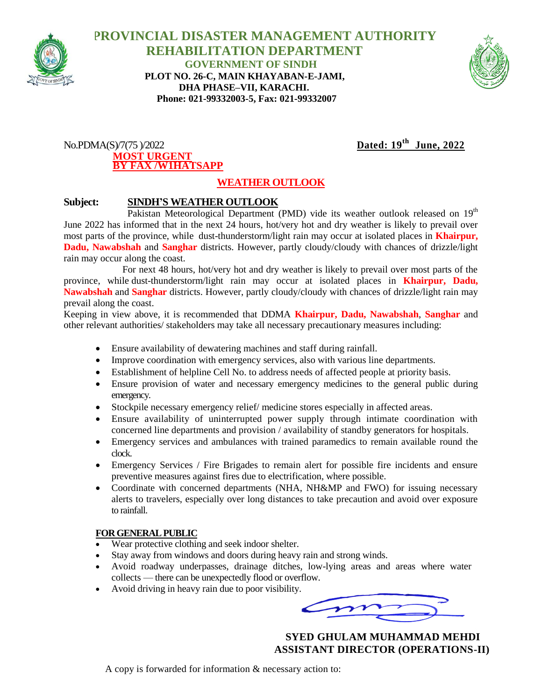

 **PROVINCIAL DISASTER MANAGEMENT AUTHORITY REHABILITATION DEPARTMENT GOVERNMENT OF SINDH PLOT NO. 26-C, MAIN KHAYABAN-E-JAMI, DHA PHASE–VII, KARACHI. Phone: 021-99332003-5, Fax: 021-99332007**



#### $No.PDMA(S)/7(75)/2022$ **MOST URGENT BY FAX /W1HATSAPP**

# Dated:  $19^{th}$  June, 2022

## **WEATHER OUTLOOK**

### **Subject: SINDH'S WEATHER OUTLOOK**

Pakistan Meteorological Department (PMD) vide its weather outlook released on  $19<sup>th</sup>$ June 2022 has informed that in the next 24 hours, hot/very hot and dry weather is likely to prevail over most parts of the province, while dust-thunderstorm/light rain may occur at isolated places in **Khairpur, Dadu, Nawabshah** and **Sanghar** districts. However, partly cloudy/cloudy with chances of drizzle/light rain may occur along the coast.

 For next 48 hours, hot/very hot and dry weather is likely to prevail over most parts of the province, while dust-thunderstorm/light rain may occur at isolated places in **Khairpur, Dadu, Nawabshah** and **Sanghar** districts. However, partly cloudy/cloudy with chances of drizzle/light rain may prevail along the coast.

Keeping in view above, it is recommended that DDMA **Khairpur, Dadu, Nawabshah**, **Sanghar** and other relevant authorities/ stakeholders may take all necessary precautionary measures including:

- Ensure availability of dewatering machines and staff during rainfall.
- Improve coordination with emergency services, also with various line departments.
- Establishment of helpline Cell No. to address needs of affected people at priority basis.
- Ensure provision of water and necessary emergency medicines to the general public during emergency.
- Stockpile necessary emergency relief/ medicine stores especially in affected areas.
- Ensure availability of uninterrupted power supply through intimate coordination with concerned line departments and provision / availability of standby generators for hospitals.
- Emergency services and ambulances with trained paramedics to remain available round the clock.
- Emergency Services / Fire Brigades to remain alert for possible fire incidents and ensure preventive measures against fires due to electrification, where possible.
- Coordinate with concerned departments (NHA, NH&MP and FWO) for issuing necessary alerts to travelers, especially over long distances to take precaution and avoid over exposure to rainfall.

#### **FOR GENERAL PUBLIC**

- Wear protective clothing and seek indoor shelter.
- Stay away from windows and doors during heavy rain and strong winds.
- Avoid roadway underpasses, drainage ditches, low-lying areas and areas where water collects — there can be unexpectedly flood or overflow.
- Avoid driving in heavy rain due to poor visibility.

 **SYED GHULAM MUHAMMAD MEHDI ASSISTANT DIRECTOR (OPERATIONS-II)**

A copy is forwarded for information & necessary action to: